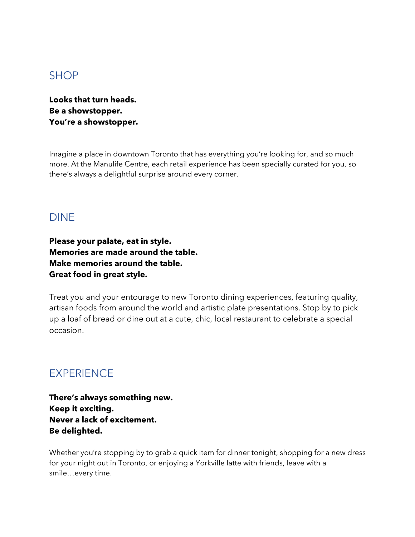## SHOP

**Looks that turn heads. Be a showstopper. You're a showstopper.**

Imagine a place in downtown Toronto that has everything you're looking for, and so much more. At the Manulife Centre, each retail experience has been specially curated for you, so there's always a delightful surprise around every corner.

## DINE

**Please your palate, eat in style. Memories are made around the table. Make memories around the table. Great food in great style.**

Treat you and your entourage to new Toronto dining experiences, featuring quality, artisan foods from around the world and artistic plate presentations. Stop by to pick up a loaf of bread or dine out at a cute, chic, local restaurant to celebrate a special occasion.

## **EXPERIENCE**

**There's always something new. Keep it exciting. Never a lack of excitement. Be delighted.**

Whether you're stopping by to grab a quick item for dinner tonight, shopping for a new dress for your night out in Toronto, or enjoying a Yorkville latte with friends, leave with a smile…every time.